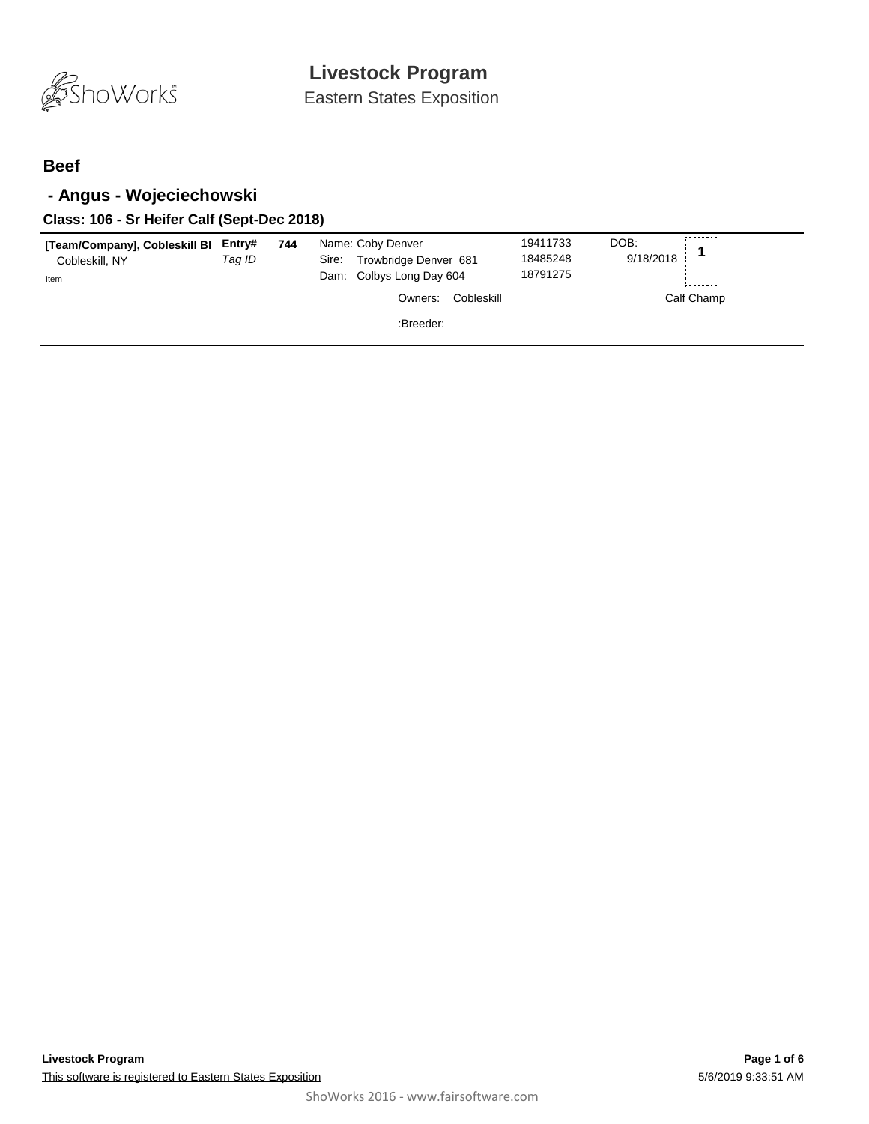

Eastern States Exposition

### **Beef**

## **- Angus - Wojeciechowski**

#### **Class: 106 - Sr Heifer Calf (Sept-Dec 2018)**

| [Team/Company], Cobleskill BI<br>Cobleskill, NY<br>Item | Entry#<br>Taq ID | 744 | Name: Coby Denver<br>Trowbridge Denver 681<br>Sire:<br>Dam: Colbys Long Day 604 | 19411733<br>18485248<br>18791275 | DOB:<br>9/18/2018 |
|---------------------------------------------------------|------------------|-----|---------------------------------------------------------------------------------|----------------------------------|-------------------|
|                                                         |                  |     | Cobleskill<br>Owners:                                                           |                                  | Calf Champ        |
|                                                         |                  |     | :Breeder:                                                                       |                                  |                   |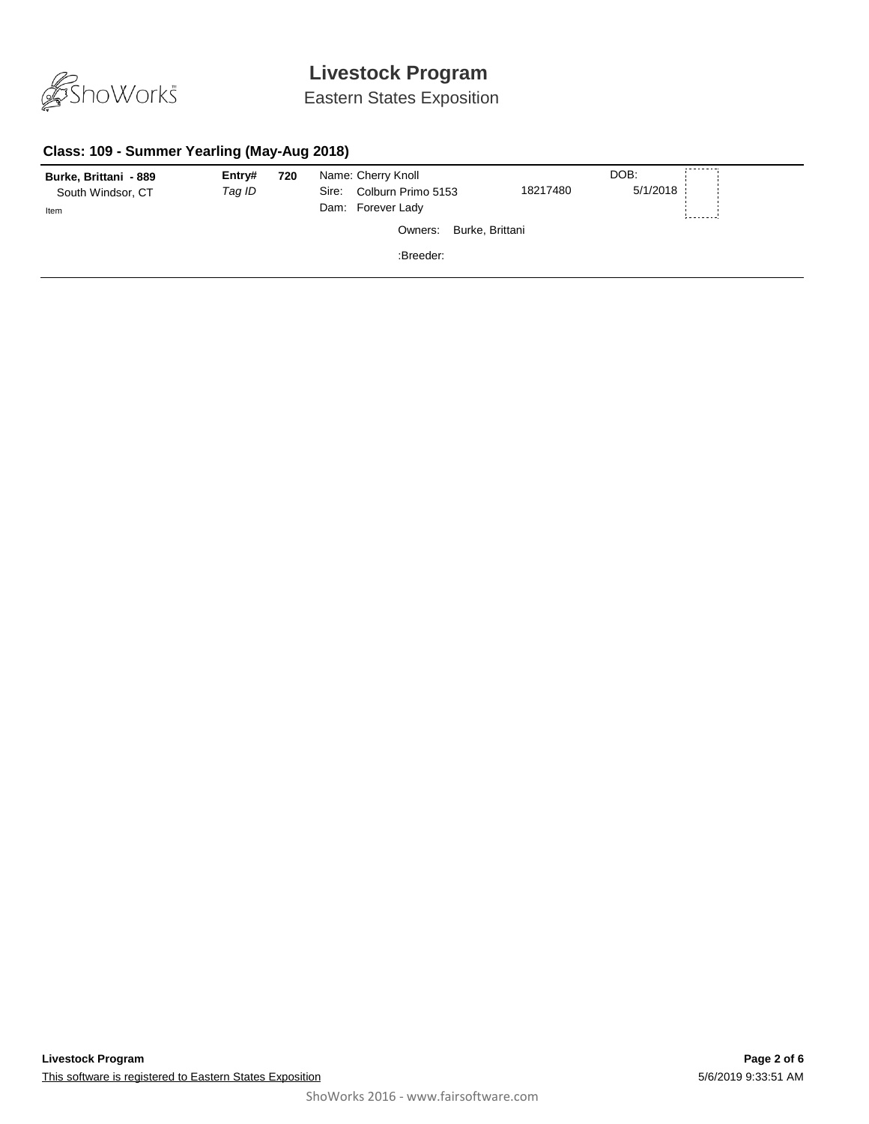

## Eastern States Exposition

### **Class: 109 - Summer Yearling (May-Aug 2018)**

| Burke, Brittani - 889 | Entry# | 720 | Name: Cherry Knoll          |                 | DOB:     | --------- |
|-----------------------|--------|-----|-----------------------------|-----------------|----------|-----------|
| South Windsor, CT     | Tag ID |     | Colburn Primo 5153<br>Sire: | 18217480        | 5/1/2018 |           |
| Item                  |        |     | Dam: Forever Lady           |                 |          |           |
|                       |        |     | Owners:                     | Burke, Brittani |          |           |
|                       |        |     | :Breeder:                   |                 |          |           |
|                       |        |     |                             |                 |          |           |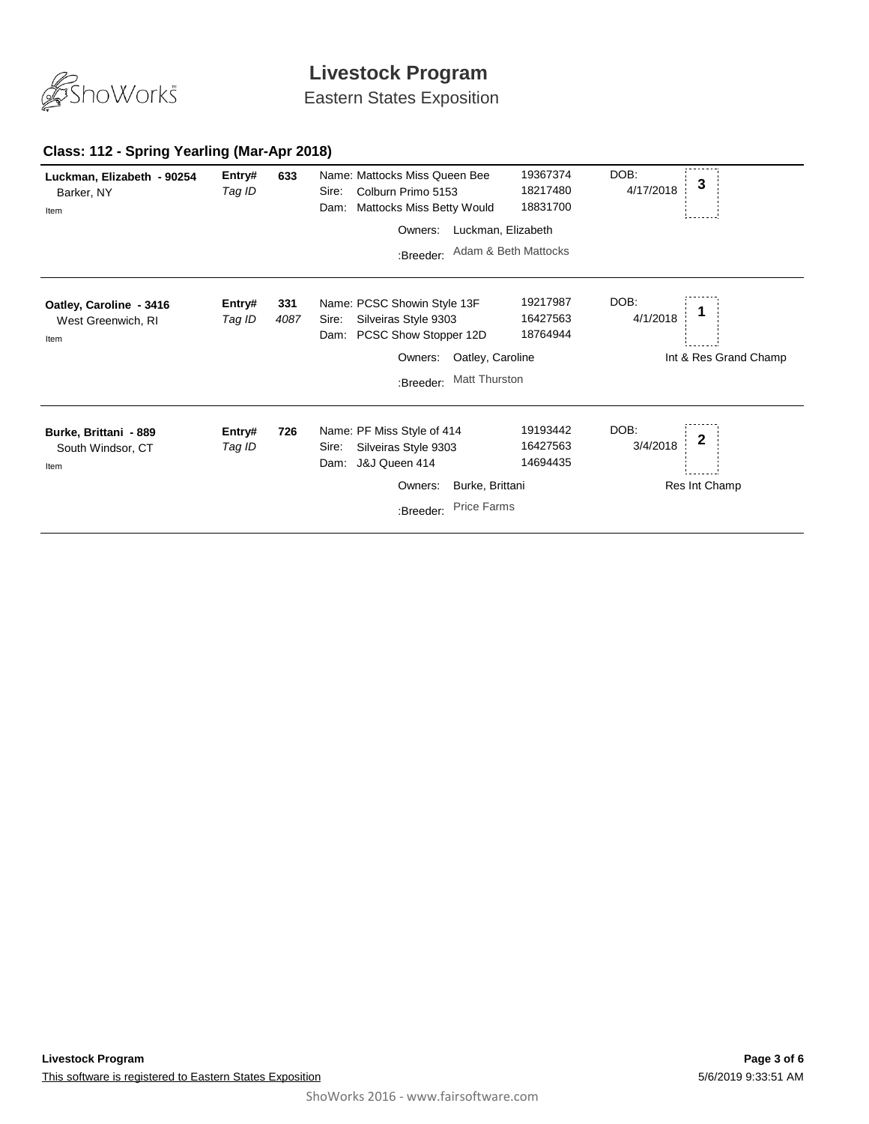

Eastern States Exposition

#### **Class: 112 - Spring Yearling (Mar-Apr 2018)**

| Luckman, Elizabeth - 90254<br>Barker, NY<br>Item      | Entry#<br>Tag ID | 633         | Name: Mattocks Miss Queen Bee<br>Colburn Primo 5153<br>Sire:<br>Mattocks Miss Betty Would<br>Dam:                  | 19367374<br>18217480<br>18831700 | DOB:<br>3<br>4/17/2018                 |  |
|-------------------------------------------------------|------------------|-------------|--------------------------------------------------------------------------------------------------------------------|----------------------------------|----------------------------------------|--|
|                                                       |                  |             | Owners:                                                                                                            | Luckman, Elizabeth               |                                        |  |
|                                                       |                  |             | :Breeder:                                                                                                          | Adam & Beth Mattocks             |                                        |  |
| Oatley, Caroline - 3416<br>West Greenwich, RI<br>Item | Entry#<br>Tag ID | 331<br>4087 | Name: PCSC Showin Style 13F<br>Silveiras Style 9303<br>Sire:<br>PCSC Show Stopper 12D<br>Dam:                      | 19217987<br>16427563<br>18764944 | DOB:<br>4/1/2018                       |  |
|                                                       |                  |             | Oatley, Caroline<br>Owners:                                                                                        |                                  | Int & Res Grand Champ                  |  |
|                                                       |                  |             | Matt Thurston<br>:Breeder:                                                                                         |                                  |                                        |  |
| Burke, Brittani - 889<br>South Windsor, CT<br>Item    | Entry#<br>Tag ID | 726         | Name: PF Miss Style of 414<br>Silveiras Style 9303<br>Sire:<br>J&J Queen 414<br>Dam:<br>Burke, Brittani<br>Owners: | 19193442<br>16427563<br>14694435 | DOB:<br>2<br>3/4/2018<br>Res Int Champ |  |
|                                                       |                  |             | <b>Price Farms</b><br>:Breeder:                                                                                    |                                  |                                        |  |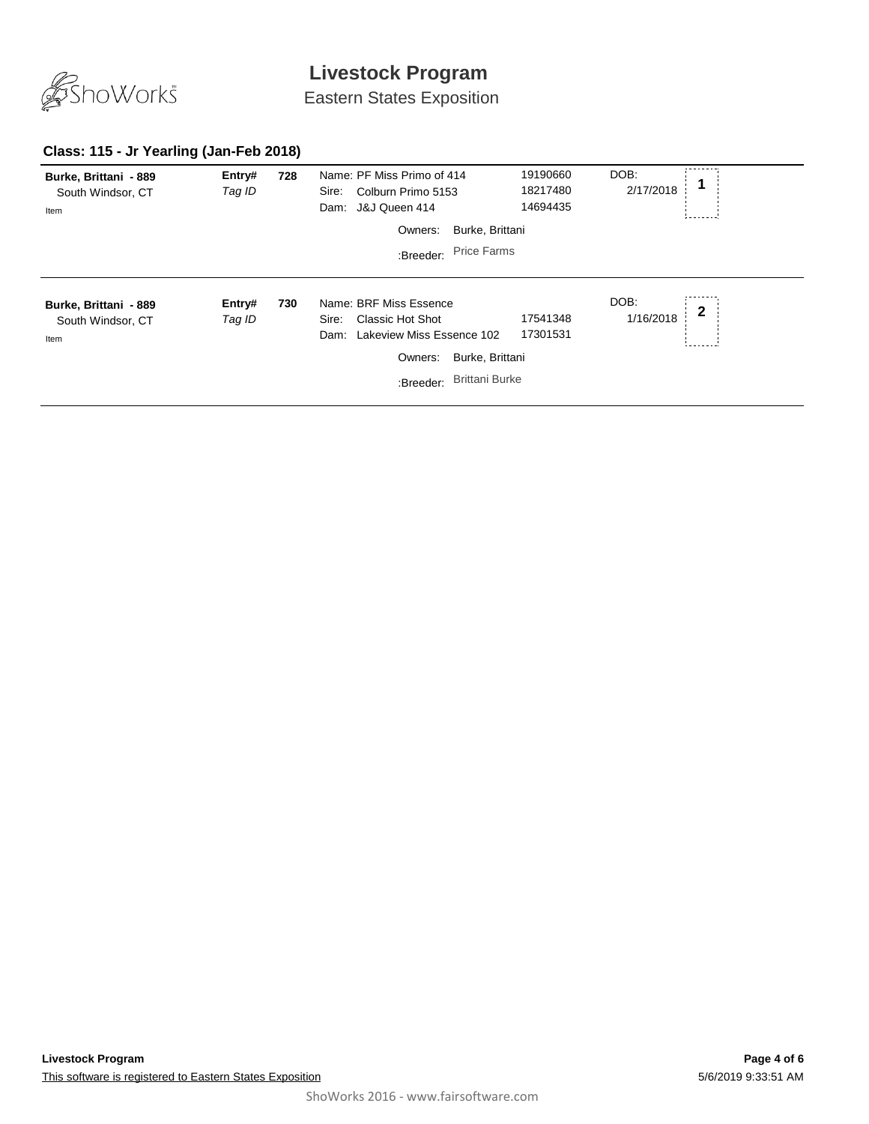

Eastern States Exposition

### **Class: 115 - Jr Yearling (Jan-Feb 2018)**

| Burke, Brittani - 889<br>South Windsor, CT<br>Item | Entry#<br>Tag ID | 728 | Name: PF Miss Primo of 414<br>Colburn Primo 5153<br>Sire:<br>Dam: J&J Queen 414          | 19190660<br>18217480<br>14694435 | DOB:<br>2/17/2018 |              |
|----------------------------------------------------|------------------|-----|------------------------------------------------------------------------------------------|----------------------------------|-------------------|--------------|
|                                                    |                  |     | Burke, Brittani<br>Owners:                                                               |                                  |                   |              |
|                                                    |                  |     | <b>Price Farms</b><br>:Breeder:                                                          |                                  |                   |              |
|                                                    |                  |     |                                                                                          |                                  |                   |              |
| Burke, Brittani - 889<br>South Windsor, CT<br>Item | Entry#<br>Tag ID | 730 | Name: BRF Miss Essence<br>Classic Hot Shot<br>Sire:<br>Lakeview Miss Essence 102<br>Dam: | 17541348<br>17301531             | DOB:<br>1/16/2018 | $\mathbf{2}$ |
|                                                    |                  |     | Burke, Brittani<br>Owners:                                                               |                                  |                   |              |
|                                                    |                  |     | <b>Brittani Burke</b><br>:Breeder:                                                       |                                  |                   |              |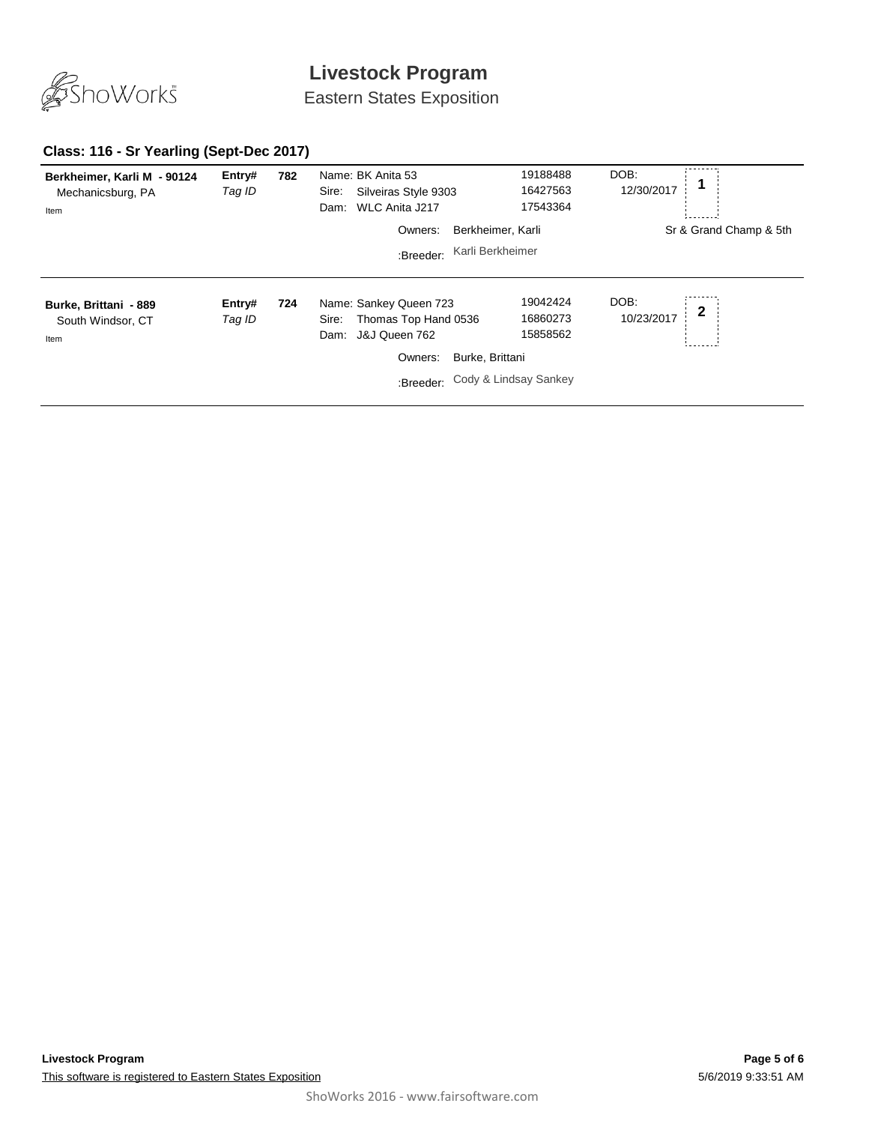

Eastern States Exposition

### **Class: 116 - Sr Yearling (Sept-Dec 2017)**

| Berkheimer, Karli M - 90124<br>Mechanicsburg, PA<br>Item | Entry#<br>Tag ID | 782 | Name: BK Anita 53<br>Silveiras Style 9303<br>Sire:<br>WLC Anita J217<br>Dam:                             | 19188488<br>16427563<br>17543364                                             | DOB:<br>12/30/2017      |
|----------------------------------------------------------|------------------|-----|----------------------------------------------------------------------------------------------------------|------------------------------------------------------------------------------|-------------------------|
|                                                          |                  |     | Owners:                                                                                                  | Berkheimer, Karli                                                            | Sr & Grand Champ & 5th  |
|                                                          |                  |     | :Breeder:                                                                                                | Karli Berkheimer                                                             |                         |
| Burke, Brittani - 889<br>South Windsor, CT<br>Item       | Entry#<br>Tag ID | 724 | Name: Sankey Queen 723<br>Thomas Top Hand 0536<br>Sire:<br>J&J Queen 762<br>Dam:<br>Owners:<br>:Breeder: | 19042424<br>16860273<br>15858562<br>Burke, Brittani<br>Cody & Lindsay Sankey | DOB:<br>2<br>10/23/2017 |